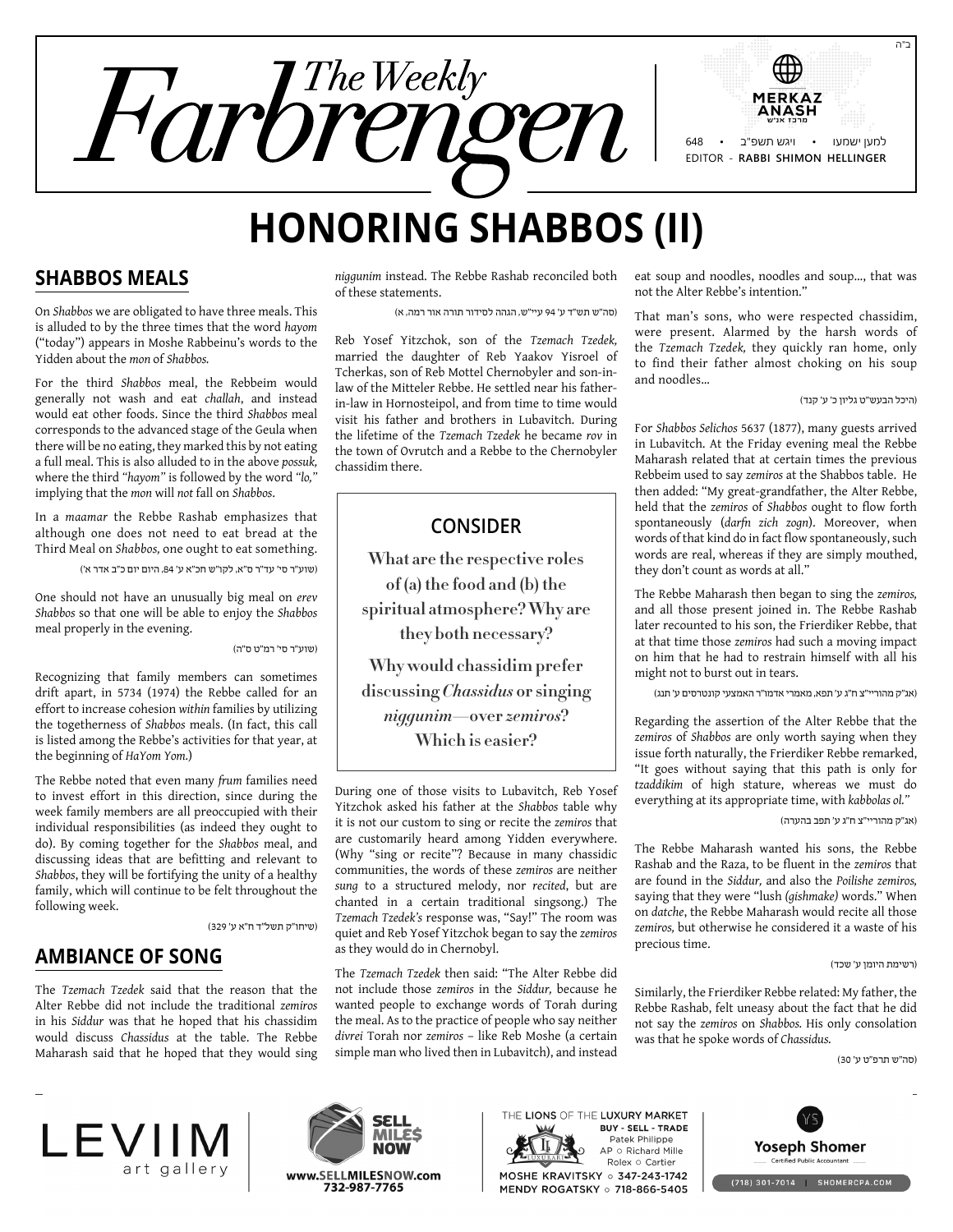

# **Honoring Shabbos (II)**

#### **Shabbos Meals**

On *Shabbos* we are obligated to have three meals. This is alluded to by the three times that the word *hayom* ("today") appears in Moshe Rabbeinu's words to the Yidden about the *mon* of *Shabbos.*

For the third *Shabbos* meal, the Rebbeim would generally not wash and eat *challah*, and instead would eat other foods. Since the third *Shabbos* meal corresponds to the advanced stage of the Geula when there will be no eating, they marked this by not eating a full meal. This is also alluded to in the above *possuk,* where the third *"hayom"* is followed by the word *"lo,"* implying that the *mon* will *not* fall on *Shabbos*.

In a *maamar* the Rebbe Rashab emphasizes that although one does not need to eat bread at the Third Meal on *Shabbos,* one ought to eat something.

)שוע"ר סי' עד"ר ס"א, לקו"ש חכ"א ע' ,84 היום יום כ"ב אדר א'(

One should not have an unusually big meal on *erev Shabbos* so that one will be able to enjoy the *Shabbos* meal properly in the evening.

)שוע"ר סי' רמ"ט ס"ה(

Recognizing that family members can sometimes drift apart, in 5734 (1974) the Rebbe called for an effort to increase cohesion *within* families by utilizing the togetherness of *Shabbos* meals. (In fact, this call is listed among the Rebbe's activities for that year, at the beginning of *HaYom Yom.*)

The Rebbe noted that even many *frum* families need to invest effort in this direction, since during the week family members are all preoccupied with their individual responsibilities (as indeed they ought to do). By coming together for the *Shabbos* meal, and discussing ideas that are befitting and relevant to *Shabbos*, they will be fortifying the unity of a healthy family, which will continue to be felt throughout the following week.

)שיחו"ק תשל"ד ח"א ע' 329(

### **Ambiance of Song**

The *Tzemach Tzedek* said that the reason that the Alter Rebbe did not include the traditional *zemiros* in his *Siddur* was that he hoped that his chassidim would discuss *Chassidus* at the table. The Rebbe Maharash said that he hoped that they would sing *niggunim* instead. The Rebbe Rashab reconciled both of these statements.

)סה"ש תש"ד ע' 94 עיי"ש, הגהה לסידור תורה אור רמה, א(

Reb Yosef Yitzchok, son of the *Tzemach Tzedek,* married the daughter of Reb Yaakov Yisroel of Tcherkas, son of Reb Mottel Chernobyler and son-inlaw of the Mitteler Rebbe. He settled near his fatherin-law in Hornosteipol, and from time to time would visit his father and brothers in Lubavitch. During the lifetime of the *Tzemach Tzedek* he became *rov* in the town of Ovrutch and a Rebbe to the Chernobyler chassidim there.

#### **Consider**

**What are the respective roles of (a) the food and (b) the spiritual atmosphere? Why are they both necessary?**

**Why would chassidim prefer discussing** *Chassidus* **or singing**  *niggunim***—over** *zemiros***? Which is easier?**

During one of those visits to Lubavitch, Reb Yosef Yitzchok asked his father at the *Shabbos* table why it is not our custom to sing or recite the *zemiros* that are customarily heard among Yidden everywhere. (Why "sing or recite"? Because in many chassidic communities, the words of these *zemiros* are neither *sung* to a structured melody, nor *recited*, but are chanted in a certain traditional singsong.) The *Tzemach Tzedek's* response was, "Say!" The room was quiet and Reb Yosef Yitzchok began to say the *zemiros* as they would do in Chernobyl.

The *Tzemach Tzedek* then said: "The Alter Rebbe did not include those *zemiros* in the *Siddur,* because he wanted people to exchange words of Torah during the meal. As to the practice of people who say neither *divrei* Torah nor *zemiros* – like Reb Moshe (a certain simple man who lived then in Lubavitch), and instead

eat soup and noodles, noodles and soup..., that was not the Alter Rebbe's intention."

That man's sons, who were respected chassidim, were present. Alarmed by the harsh words of the *Tzemach Tzedek,* they quickly ran home, only to find their father almost choking on his soup and noodles…

)היכל הבעש"ט גליון כ' ע' קנד(

For *Shabbos Selichos* 5637 (1877), many guests arrived in Lubavitch. At the Friday evening meal the Rebbe Maharash related that at certain times the previous Rebbeim used to say *zemiros* at the Shabbos table. He then added: "My great-grandfather, the Alter Rebbe, held that the *zemiros* of *Shabbos* ought to flow forth spontaneously (*darfn zich zogn*). Moreover, when words of that kind do in fact flow spontaneously, such words are real, whereas if they are simply mouthed, they don't count as words at all."

The Rebbe Maharash then began to sing the *zemiros,* and all those present joined in. The Rebbe Rashab later recounted to his son, the Frierdiker Rebbe, that at that time those *zemiros* had such a moving impact on him that he had to restrain himself with all his might not to burst out in tears.

)אג"ק מהוריי"צ ח"ג ע' תפא, מאמרי אדמו"ר האמצעי קונטרסים ע' תנג(

Regarding the assertion of the Alter Rebbe that the *zemiros* of *Shabbos* are only worth saying when they issue forth naturally, the Frierdiker Rebbe remarked, "It goes without saying that this path is only for *tzaddikim* of high stature, whereas we must do everything at its appropriate time, with *kabbolas ol."*

)אג"ק מהוריי"צ ח"ג ע' תפב בהערה(

The Rebbe Maharash wanted his sons, the Rebbe Rashab and the Raza, to be fluent in the *zemiros* that are found in the *Siddur,* and also the *Poilishe zemiros,* saying that they were "lush *(gishmake)* words." When on *datche*, the Rebbe Maharash would recite all those *zemiros,* but otherwise he considered it a waste of his precious time.

)רשימת היומן ע' שכד(

Similarly, the Frierdiker Rebbe related: My father, the Rebbe Rashab, felt uneasy about the fact that he did not say the *zemiros* on *Shabbos.* His only consolation was that he spoke words of *Chassidus.*

)סה"ש תרפ"ט ע' 30(





THE LIONS OF THE LUXURY MARKET **BUY - SELL - TRADE** Patek Philippe AP o Richard Mille Rolex o Cartier<br>MOSHE KRAVITSKY o 347-243-1742 MENDY ROGATSKY o 718-866-5405